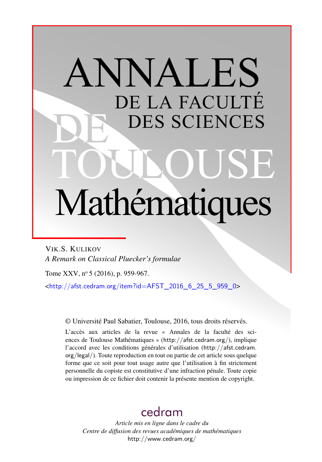# ANNALES DE LA FACULTÉ DES SCIENCES Mathématiques

VIK.S. KULIKOV *A Remark on Classical Pluecker's formulae*

Tome XXV, nº 5 (2016), p. 959-967.

<[http://afst.cedram.org/item?id=AFST\\_2016\\_6\\_25\\_5\\_959\\_0](http://afst.cedram.org/item?id=AFST_2016_6_25_5_959_0)>

© Université Paul Sabatier, Toulouse, 2016, tous droits réservés.

L'accès aux articles de la revue « Annales de la faculté des sciences de Toulouse Mathématiques » (<http://afst.cedram.org/>), implique l'accord avec les conditions générales d'utilisation ([http://afst.cedram.](http://afst.cedram.org/legal/) [org/legal/](http://afst.cedram.org/legal/)). Toute reproduction en tout ou partie de cet article sous quelque forme que ce soit pour tout usage autre que l'utilisation à fin strictement personnelle du copiste est constitutive d'une infraction pénale. Toute copie ou impression de ce fichier doit contenir la présente mention de copyright.

# [cedram](http://www.cedram.org/)

*Article mis en ligne dans le cadre du Centre de diffusion des revues académiques de mathématiques* <http://www.cedram.org/>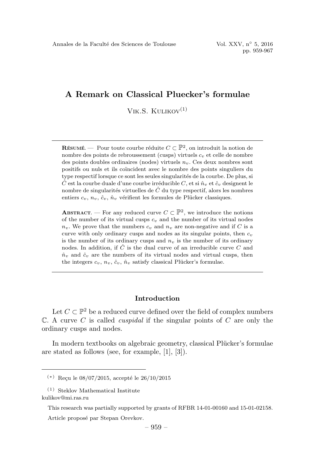VIK.S.  $KULIKOV<sup>(1)</sup>$ 

**RÉSUMÉ**  $\cdots$  Pour toute courbe réduite  $C \subset \mathbb{P}^2$ , on introduit la notion de nombre des points de rebroussement (cusps) virtuels  $c_v$  et celle de nombre des points doubles ordinaires (nodes) virtuels  $n_v$ . Ces deux nombres sont positifs ou nuls et ils co¨ıncident avec le nombre des points singuliers du type respectif lorsque ce sont les seules singularités de la courbe. De plus, si  $\hat{C}$  est la courbe duale d'une courbe irréducible C, et si  $\hat{n}_v$  et  $\hat{c}_v$  designent le nombre de singularités virtuelles de  $\hat{C}$  du type respectif, alors les nombres entiers  $c_v$ ,  $n_v$ ,  $\hat{c}_v$ ,  $\hat{n}_v$  vérifient les formules de Plücker classiques.

ABSTRACT. — For any reduced curve  $C \subset \mathbb{P}^2$ , we introduce the notions of the number of its virtual cusps  $c_v$  and the number of its virtual nodes  $n_v$ . We prove that the numbers  $c_v$  and  $n_v$  are non-negative and if C is a curve with only ordinary cusps and nodes as its singular points, then  $c_v$ is the number of its ordinary cusps and  $n<sub>v</sub>$  is the number of its ordinary nodes. In addition, if  $\hat{C}$  is the dual curve of an irreducible curve C and  $\hat{n}_v$  and  $\hat{c}_v$  are the numbers of its virtual nodes and virtual cusps, then the integers  $c_v$ ,  $n_v$ ,  $\hat{c}_v$ ,  $\hat{n}_v$  satisfy classical Plücker's formulae.

## Introduction

Let  $C \subset \mathbb{P}^2$  be a reduced curve defined over the field of complex numbers  $\mathbb C$ . A curve C is called *cuspidal* if the singular points of C are only the ordinary cusps and nodes.

In modern textbooks on algebraic geometry, classical Plücker's formulae are stated as follows (see, for example, [1], [3]).

 $(*)$  Reçu le 08/07/2015, accepté le 26/10/2015

<sup>(1)</sup> Steklov Mathematical Institute kulikov@mi.ras.ru

This research was partially supported by grants of RFBR 14-01-00160 and 15-01-02158.

Article proposé par Stepan Orevkov.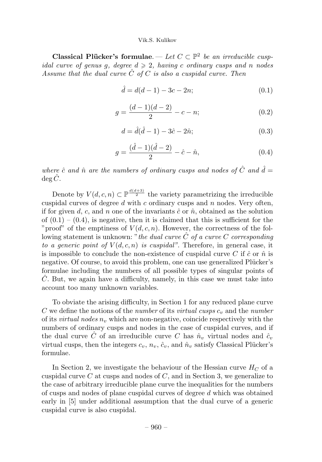Classical Plücker's formulae. — Let  $C \subset \mathbb{P}^2$  be an irreducible cuspidal curve of genus g, degree  $d \geqslant 2$ , having c ordinary cusps and n nodes Assume that the dual curve  $\hat{C}$  of C is also a cuspidal curve. Then

$$
\hat{d} = d(d-1) - 3c - 2n; \tag{0.1}
$$

$$
g = \frac{(d-1)(d-2)}{2} - c - n;
$$
\n(0.2)

$$
d = \hat{d}(\hat{d} - 1) - 3\hat{c} - 2\hat{n};
$$
\n(0.3)

$$
g = \frac{(\hat{d} - 1)(\hat{d} - 2)}{2} - \hat{c} - \hat{n},\tag{0.4}
$$

where  $\hat{c}$  and  $\hat{n}$  are the numbers of ordinary cusps and nodes of  $\hat{C}$  and  $\hat{d} =$  $\deg \hat{C}$ .

Denote by  $V(d, c, n) \subset \mathbb{P}^{\frac{d(d+3)}{2}}$  the variety parametrizing the irreducible cuspidal curves of degree  $d$  with  $c$  ordinary cusps and  $n$  nodes. Very often, if for given d, c, and n one of the invariants  $\hat{c}$  or  $\hat{n}$ , obtained as the solution of  $(0.1) - (0.4)$ , is negative, then it is claimed that this is sufficient for the "proof" of the emptiness of  $V(d, c, n)$ . However, the correctness of the following statement is unknown: "the dual curve  $\hat{C}$  of a curve C corresponding to a generic point of  $V(d, c, n)$  is cuspidal". Therefore, in general case, it is impossible to conclude the non-existence of cuspidal curve C if  $\hat{c}$  or  $\hat{n}$  is negative. Of course, to avoid this problem, one can use generalized Plücker's formulae including the numbers of all possible types of singular points of C. But, we again have a difficulty, namely, in this case we must take into account too many unknown variables.

To obviate the arising difficulty, in Section 1 for any reduced plane curve  $C$  we define the notions of the number of its virtual cusps  $c_v$  and the number of its *virtual nodes*  $n_v$ , which are non-negative, coincide respectively with the numbers of ordinary cusps and nodes in the case of cuspidal curves, and if the dual curve  $\hat{C}$  of an irreducible curve C has  $\hat{n}_v$  virtual nodes and  $\hat{c}_v$ virtual cusps, then the integers  $c_v$ ,  $n_v$ ,  $\hat{c}_v$ , and  $\hat{n}_v$  satisfy Classical Plücker's formulae.

In Section 2, we investigate the behaviour of the Hessian curve  $H_C$  of a cuspidal curve  $C$  at cusps and nodes of  $C$ , and in Section 3, we generalize to the case of arbitrary irreducible plane curve the inequalities for the numbers of cusps and nodes of plane cuspidal curves of degree d which was obtained early in [5] under additional assumption that the dual curve of a generic cuspidal curve is also cuspidal.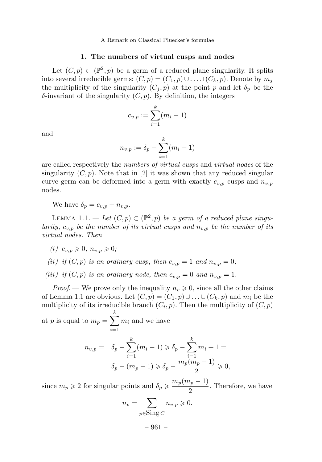#### 1. The numbers of virtual cusps and nodes

Let  $(C, p) \subset (\mathbb{P}^2, p)$  be a germ of a reduced plane singularity. It splits into several irreducible germs:  $(C, p) = (C_1, p) \cup \ldots \cup (C_k, p)$ . Denote by  $m_j$ the multiplicity of the singularity  $(C_j, p)$  at the point p and let  $\delta_p$  be the  $\delta$ -invariant of the singularity  $(C, p)$ . By definition, the integers

$$
c_{v,p} := \sum_{i=1}^{k} (m_i - 1)
$$

and

$$
n_{v,p} := \delta_p - \sum_{i=1}^{k} (m_i - 1)
$$

are called respectively the numbers of virtual cusps and virtual nodes of the singularity  $(C, p)$ . Note that in [2] it was shown that any reduced singular curve germ can be deformed into a germ with exactly  $c_{v,p}$  cusps and  $n_{v,p}$ nodes.

We have  $\delta_n = c_{n,n} + n_{n,n}$ .

LEMMA 1.1. — Let  $(C, p) \subset (\mathbb{P}^2, p)$  be a germ of a reduced plane singularity,  $c_{v,p}$  be the number of its virtual cusps and  $n_{v,p}$  be the number of its virtual nodes. Then

(*i*)  $c_{v,n} \ge 0, n_{v,n} \ge 0;$ 

- (ii) if  $(C, p)$  is an ordinary cusp, then  $c_{v,p} = 1$  and  $n_{v,p} = 0$ ;
- (iii) if  $(C, p)$  is an ordinary node, then  $c_{v,p} = 0$  and  $n_{v,p} = 1$ .

*Proof.* — We prove only the inequality  $n_v \geq 0$ , since all the other claims of Lemma 1.1 are obvious. Let  $(C, p) = (C_1, p) \cup \ldots \cup (C_k, p)$  and  $m_i$  be the multiplicity of its irreducible branch  $(C_i, p)$ . Then the multiplicity of  $(C, p)$ 

at p is equal to  $m_p = \sum^k$  $i=1$  $m_i$  and we have  $n_{v,p} = \delta_p - \sum^k$  $\sum_{i=1}^{k} (m_i - 1) \geq \delta_p - \sum_{i=1}^{k}$  $i=1$  $m_i+1=$  $\delta_p - (m_p - 1) \geq \delta_p - \frac{m_p(m_p - 1)}{2} \geq 0,$ 

since  $m_p \geq 2$  for singular points and  $\delta_p \geq \frac{m_p(m_p - 1)}{2}$ . Therefore, we have

$$
n_v = \sum_{p \in \text{Sing } C} n_{v,p} \geqslant 0.
$$

– 961 –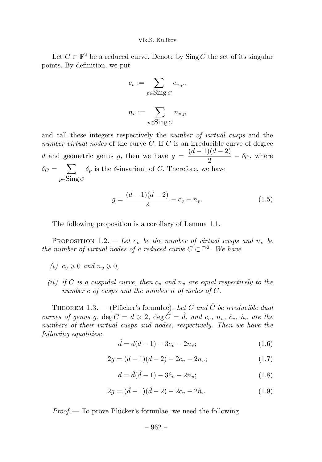Let  $C \subset \mathbb{P}^2$  be a reduced curve. Denote by  $\text{Sing } C$  the set of its singular points. By definition, we put

$$
c_v := \sum_{p \in \text{Sing } C} c_{v,p},
$$
  

$$
n_v := \sum_{p \in \text{Sing } C} n_{v,p}
$$

and call these integers respectively the *number of virtual cusps* and the number virtual nodes of the curve C. If C is an irreducible curve of degree d and geometric genus g, then we have  $g = \frac{(d-1)(d-2)}{2} - \delta_C$ , where  $\delta_C = \sum$  $_{p \in \text{Sing }C}$  $\delta_p$  is the  $\delta$ -invariant of C. Therefore, we have

$$
g = \frac{(d-1)(d-2)}{2} - c_v - n_v.
$$
\n(1.5)

The following proposition is a corollary of Lemma 1.1.

PROPOSITION 1.2. — Let  $c_v$  be the number of virtual cusps and  $n_v$  be the number of virtual nodes of a reduced curve  $C \subset \mathbb{P}^2$ . We have

- (i)  $c_v \geqslant 0$  and  $n_v \geqslant 0$ ,
- (ii) if C is a cuspidal curve, then  $c_v$  and  $n_v$  are equal respectively to the number c of cusps and the number n of nodes of C.

THEOREM 1.3. — (Plücker's formulae). Let C and  $\hat{C}$  be irreducible dual curves of genus g,  $\deg C = d \geqslant 2$ ,  $\deg \hat{C} = \hat{d}$ , and  $c_v$ ,  $n_v$ ,  $\hat{c}_v$ ,  $\hat{n}_v$  are the numbers of their virtual cusps and nodes, respectively. Then we have the following equalities:

$$
\hat{d} = d(d-1) - 3c_v - 2n_v; \tag{1.6}
$$

$$
2g = (d-1)(d-2) - 2c_v - 2n_v;
$$
\n(1.7)

$$
d = \hat{d}(\hat{d} - 1) - 3\hat{c}_v - 2\hat{n}_v; \tag{1.8}
$$

$$
2g = (\hat{d} - 1)(\hat{d} - 2) - 2\hat{c}_v - 2\hat{n}_v.
$$
 (1.9)

 $Proof.$  — To prove Plücker's formulae, we need the following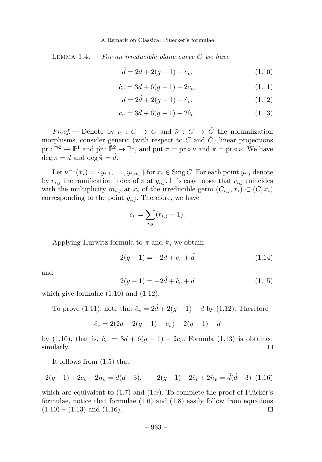LEMMA 1.4.  $-$  For an irreducible plane curve C we have

$$
\hat{d} = 2d + 2(g - 1) - c_v,\tag{1.10}
$$

$$
\hat{c}_v = 3d + 6(g - 1) - 2c_v, \tag{1.11}
$$

$$
d = 2\hat{d} + 2(g - 1) - \hat{c}_v,\tag{1.12}
$$

$$
c_v = 3\hat{d} + 6(g - 1) - 2\hat{c}_v.
$$
\n(1.13)

*Proof.* — Denote by  $\nu : \overline{C} \to C$  and  $\hat{\nu} : \overline{C} \to \hat{C}$  the normalization morphisms, consider generic (with respect to C and  $\hat{C}$ ) linear projections  $pr : \mathbb{P}^2 \to \mathbb{P}^1$  and  $\hat{pr} : \hat{\mathbb{P}}^2 \to \mathbb{P}^1$ , and put  $\pi = pr \circ \nu$  and  $\hat{\pi} = \hat{pr} \circ \hat{\nu}$ . We have  $\deg \pi = d$  and  $\deg \hat{\pi} = \hat{d}$ .

Let  $\nu^{-1}(x_i) = \{y_{i,1}, \ldots, y_{i,m_i}\}$  for  $x_i \in \text{Sing } C$ . For each point  $y_{i,j}$  denote by  $r_{i,j}$  the ramification index of  $\pi$  at  $y_{i,j}$ . It is easy to see that  $r_{i,j}$  coincides with the multiplicity  $m_{i,j}$  at  $x_i$  of the irreducible germ  $(C_{i,j}, x_i) \subset (C, x_i)$ corresponding to the point  $y_{i,j}$ . Therefore, we have

$$
c_v = \sum_{i,j} (r_{i,j} - 1).
$$

Applying Hurwitz formula to  $\pi$  and  $\hat{\pi}$ , we obtain

$$
2(g-1) = -2d + c_v + \hat{d}
$$
 (1.14)

and

$$
2(g-1) = -2\hat{d} + \hat{c}_v + d \tag{1.15}
$$

which give formulae  $(1.10)$  and  $(1.12)$ .

To prove (1.11), note that  $\hat{c}_v = 2\hat{d} + 2(g - 1) - d$  by (1.12). Therefore

$$
\hat{c}_v = 2(2d + 2(g - 1) - c_v) + 2(g - 1) - d
$$

by (1.10), that is,  $\hat{c}_v = 3d + 6(g - 1) - 2c_v$ . Formula (1.13) is obtained similarly. similarly.  $\Box$ 

It follows from (1.5) that

$$
2(g-1) + 2c_v + 2n_v = d(d-3), \qquad 2(g-1) + 2\hat{c}_v + 2\hat{n}_v = \hat{d}(\hat{d}-3)
$$
 (1.16)

which are equivalent to  $(1.7)$  and  $(1.9)$ . To complete the proof of Plücker's formulae, notice that formulae (1.6) and (1.8) easily follow from equations  $(1.10) - (1.13)$  and  $(1.16)$ .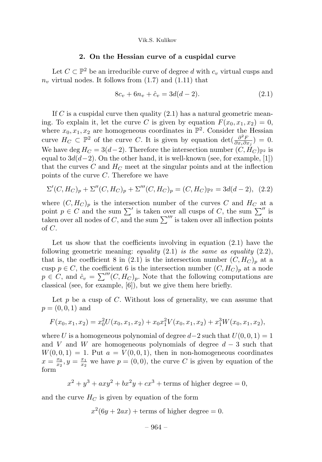#### 2. On the Hessian curve of a cuspidal curve

Let  $C \subset \mathbb{P}^2$  be an irreducible curve of degree d with  $c_v$  virtual cusps and  $n_v$  virtual nodes. It follows from  $(1.7)$  and  $(1.11)$  that

$$
8c_v + 6n_v + \hat{c}_v = 3d(d-2). \tag{2.1}
$$

If C is a cuspidal curve then quality  $(2.1)$  has a natural geometric meaning. To explain it, let the curve C is given by equation  $F(x_0, x_1, x_2) = 0$ , where  $x_0, x_1, x_2$  are homogeneous coordinates in  $\mathbb{P}^2$ . Consider the Hessian curve  $H_C \subset \mathbb{P}^2$  of the curve C. It is given by equation  $\det(\frac{\partial^2 F}{\partial x_i \partial x_j}) = 0$ . We have deg  $H_C = 3(d-2)$ . Therefore the intersection number  $(C, H_C)_{p^2}$  is equal to  $3d(d-2)$ . On the other hand, it is well-known (see, for example, [1]) that the curves C and  $H_C$  meet at the singular points and at the inflection points of the curve C. Therefore we have

$$
\Sigma'(C, H_C)_p + \Sigma''(C, H_C)_p + \Sigma'''(C, H_C)_p = (C, H_C)_{\mathbb{P}^2} = 3d(d - 2), \tag{2.2}
$$

where  $(C, H_C)_p$  is the intersection number of the curves C and  $H_C$  at a point  $p \in C$  and the sum  $\sum'$  is taken over all cusps of C, the sum  $\sum''$  is taken over all nodes of C, and the sum  $\sum^{\prime\prime\prime}$  is taken over all inflection points of C.

Let us show that the coefficients involving in equation  $(2.1)$  have the following geometric meaning: equality  $(2.1)$  is the same as equality  $(2.2)$ , that is, the coefficient 8 in (2.1) is the intersection number  $(C, H_C)_p$  at a cusp  $p \in C$ , the coefficient 6 is the intersection number  $(C, H_C)_p$  at a node  $p \in C$ , and  $\hat{c}_v = \sum^{\prime\prime\prime}(C, H_C)_p$ . Note that the following computations are classical (see, for example, [6]), but we give them here briefly.

Let p be a cusp of  $C$ . Without loss of generality, we can assume that  $p = (0, 0, 1)$  and

$$
F(x_0, x_1, x_2) = x_0^2 U(x_0, x_1, x_2) + x_0 x_1^2 V(x_0, x_1, x_2) + x_1^3 W(x_0, x_1, x_2),
$$

where U is a homogeneous polynomial of degree  $d-2$  such that  $U(0, 0, 1) = 1$ and V and W are homogeneous polynomials of degree  $d-3$  such that  $W(0, 0, 1) = 1$ . Put  $a = V(0, 0, 1)$ , then in non-homogeneous coordinates  $x = \frac{x_0}{x_2}, y = \frac{x_1}{x_2}$  we have  $p = (0, 0)$ , the curve C is given by equation of the form

$$
x2 + y3 + axy2 + bx2y + cx3 + terms of higher degree = 0,
$$

and the curve  $H_C$  is given by equation of the form

 $x^2(6y+2ax)$  + terms of higher degree = 0.

$$
-964-
$$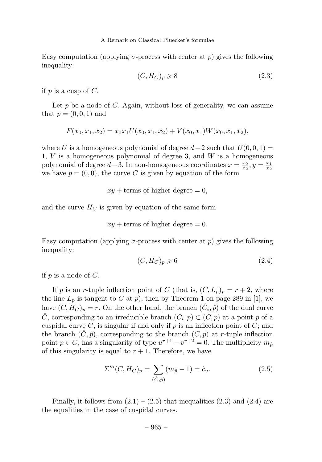Easy computation (applying  $\sigma$ -process with center at p) gives the following inequality:

$$
(C, H_C)_p \geqslant 8 \tag{2.3}
$$

if p is a cusp of  $C$ .

Let  $p$  be a node of  $C$ . Again, without loss of generality, we can assume that  $p = (0, 0, 1)$  and

$$
F(x_0, x_1, x_2) = x_0 x_1 U(x_0, x_1, x_2) + V(x_0, x_1) W(x_0, x_1, x_2),
$$

where U is a homogeneous polynomial of degree  $d-2$  such that  $U(0, 0, 1) =$ 1,  $V$  is a homogeneous polynomial of degree 3, and  $W$  is a homogeneous polynomial of degree  $d-3$ . In non-homogeneous coordinates  $x = \frac{x_0}{x_2}, y = \frac{x_1}{x_2}$ we have  $p = (0, 0)$ , the curve C is given by equation of the form

$$
xy
$$
 + terms of higher degree = 0,

and the curve  $H_C$  is given by equation of the same form

$$
xy
$$
 + terms of higher degree = 0.

Easy computation (applying  $\sigma$ -process with center at p) gives the following inequality:

$$
(C, H_C)_p \geqslant 6\tag{2.4}
$$

if  $p$  is a node of  $C$ .

If p is an r-tuple inflection point of C (that is,  $(C, L_p)_p = r + 2$ , where the line  $L_p$  is tangent to C at p), then by Theorem 1 on page 289 in [1], we have  $(C, H_C)_p = r$ . On the other hand, the branch  $(\hat{C}_i, \hat{p})$  of the dual curve  $\hat{C}$ , corresponding to an irreducible branch  $(C_i, p) \subset (C, p)$  at a point p of a cuspidal curve  $C$ , is singular if and only if  $p$  is an inflection point of  $C$ ; and the branch  $(\hat{C}, \hat{p})$ , corresponding to the branch  $(C, p)$  at r-tuple inflection point  $p \in C$ , has a singularity of type  $u^{r+1} - v^{r+2} = 0$ . The multiplicity  $m_{\hat{p}}$ of this singularity is equal to  $r + 1$ . Therefore, we have

$$
\Sigma'''(C, H_C)_p = \sum_{(\hat{C}, \hat{p})} (m_{\hat{p}} - 1) = \hat{c}_v.
$$
 (2.5)

Finally, it follows from  $(2.1) - (2.5)$  that inequalities  $(2.3)$  and  $(2.4)$  are the equalities in the case of cuspidal curves.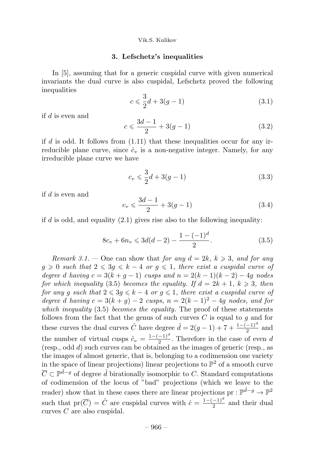#### 3. Lefschetz's inequalities

In [5], assuming that for a generic cuspidal curve with given numerical invariants the dual curve is also cuspidal, Lefschetz proved the following inequalities

$$
c \leq \frac{3}{2}d + 3(g - 1) \tag{3.1}
$$

if  $d$  is even and

$$
c \leqslant \frac{3d-1}{2} + 3(g-1) \tag{3.2}
$$

if d is odd. It follows from  $(1.11)$  that these inequalities occur for any irreducible plane curve, since  $\hat{c}_v$  is a non-negative integer. Namely, for any irreducible plane curve we have

$$
c_v \leq \frac{3}{2}d + 3(g - 1) \tag{3.3}
$$

if  $d$  is even and

$$
c_v \leqslant \frac{3d-1}{2} + 3(g-1) \tag{3.4}
$$

if d is odd, and equality  $(2.1)$  gives rise also to the following inequality:

$$
8c_v + 6n_v \le 3d(d-2) - \frac{1 - (-1)^d}{2}.
$$
\n(3.5)

Remark 3.1. — One can show that for any  $d = 2k, k \geq 3$ , and for any  $g \geq 0$  such that  $2 \leq 3g \leq k-4$  or  $g \leq 1$ , there exist a cuspidal curve of degree d having  $c = 3(k + g - 1)$  cusps and  $n = 2(k - 1)(k - 2) - 4g$  nodes for which inequality (3.5) becomes the equality. If  $d = 2k + 1$ ,  $k \geq 3$ , then for any g such that  $2 \leq 3g \leq k-4$  or  $g \leq 1$ , there exist a cuspidal curve of degree d having  $c = 3(k + g) - 2$  cusps,  $n = 2(k - 1)^2 - 4g$  nodes, and for which inequality  $(3.5)$  becomes the equality. The proof of these statements follows from the fact that the genus of such curves  $C$  is equal to  $g$  and for these curves the dual curves  $\hat{C}$  have degree  $\hat{d} = 2(g-1) + 7 + \frac{1-(-1)^d}{2}$  and the number of virtual cusps  $\hat{c}_v = \frac{1 - (-1)^d}{2}$ . Therefore in the case of even d (resp., odd d) such curves can be obtained as the images of generic (resp., as the images of almost generic, that is, belonging to a codimension one variety in the space of linear projections) linear projections to  $\mathbb{P}^2$  of a smooth curve  $\overline{C} \subset \mathbb{P}^{\hat{d}-g}$  of degree  $\hat{d}$  birationally isomorphic to C. Standard computations of codimension of the locus of "bad" projections (which we leave to the reader) show that in these cases there are linear projections pr :  $\mathbb{P}^{\hat{d}-g} \to \mathbb{P}^2$ such that  $pr(\overline{C}) = \hat{C}$  are cuspidal curves with  $\hat{c} = \frac{1 - (-1)^d}{2}$  and their dual curves C are also cuspidal.